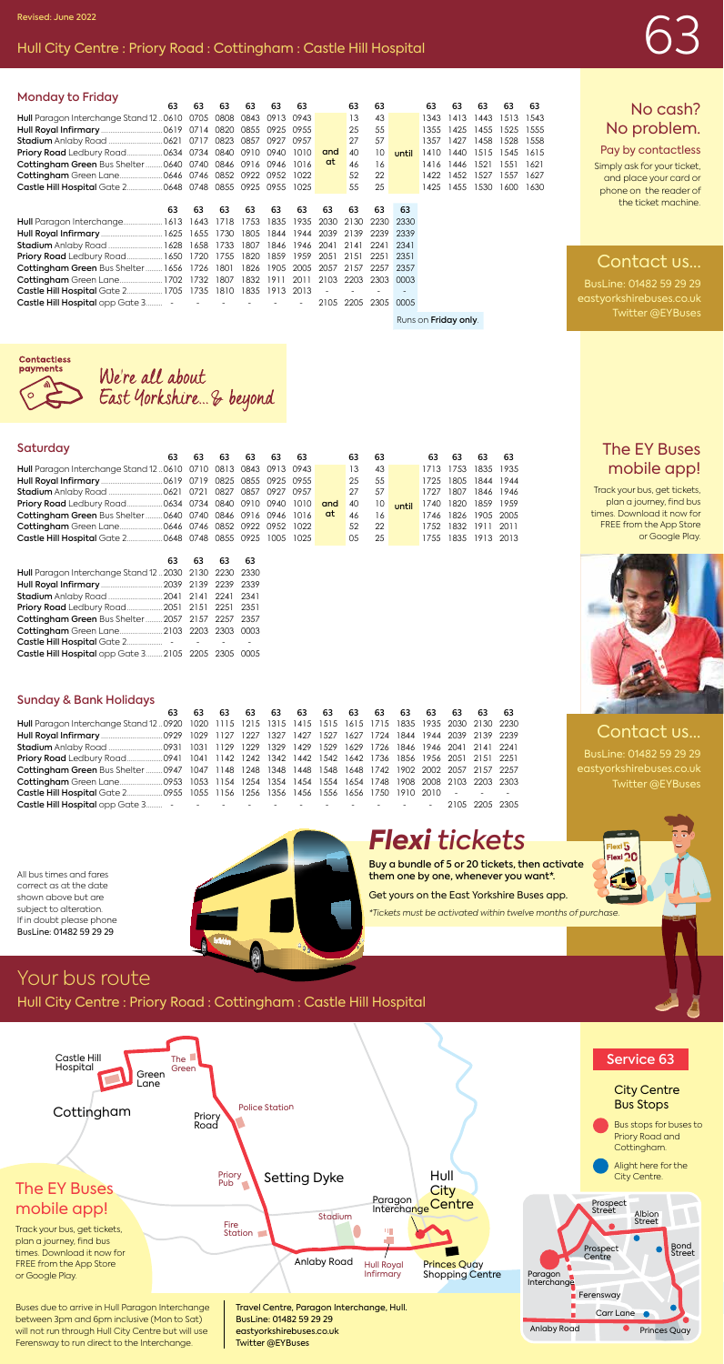# Revised: June 2022<br>Hull City Centre : Priory Road : Cottingham : Castle Hill Hospital

| <b>Monday to Friday</b>                                        |    |    |                     |                |        |                     |      |      |           |      |      |           |           |           |
|----------------------------------------------------------------|----|----|---------------------|----------------|--------|---------------------|------|------|-----------|------|------|-----------|-----------|-----------|
| 63                                                             | 63 | 63 | 63                  | 63             | 63     |                     | 63   | 63   |           | 63   | 63   | 63        | 63        | 63        |
| Hull Paragon Interchange Stand 120610 0705 0808 0843 0913 0943 |    |    |                     |                |        |                     | 13   | 43   |           | 1343 | 1413 | 1443      |           | 1513 1543 |
|                                                                |    |    |                     |                |        |                     | 25   | 55   |           | 1355 |      | 1425 1455 | 1525 1555 |           |
|                                                                |    |    |                     | 0927 0957      |        |                     | 27   | 57   |           | 1357 | 1427 | 1458      | 1528 1558 |           |
|                                                                |    |    |                     |                | 1010   | and                 | 40   | 10   | until     | 1410 | 1440 | 1515      | 1545 1615 |           |
| Cottingham Green Bus Shelter  0640 0740 0846 0916 0946         |    |    |                     |                | - 1016 | at                  | 46   | 16   |           | 1416 | 1446 | 1521      | 1551      | 1621      |
|                                                                |    |    |                     |                | 1022   |                     | 52   | 22   |           | 1422 | 1452 | 1527      | 1557 1627 |           |
| Castle Hill Hospital Gate 2 0648 0748 0855 0925 0955 1025      |    |    |                     |                |        |                     | 55   | 25   |           | 1425 | 1455 | 1530      |           | 1600 1630 |
|                                                                |    |    |                     |                |        |                     |      |      |           |      |      |           |           |           |
|                                                                |    |    |                     |                |        |                     |      |      |           |      |      |           |           |           |
| 63                                                             | 63 | 63 | 63                  | 63             | 63     | 63                  | 63   | 63   | 63        |      |      |           |           |           |
| Hull Paragon Interchange 1613 1643 1718                        |    |    | 1753                | 1835           | 1935   | 2030                | 2130 | 2230 | 2330      |      |      |           |           |           |
|                                                                |    |    | 1805                | 1844           |        | 1944 2039 2139 2239 |      |      | -2339     |      |      |           |           |           |
| <b>Stadium</b> Anlaby Road  1628 1658 1733                     |    |    | 1807                | 1846           |        | 1946 2041 2141      |      | 2241 | 2341      |      |      |           |           |           |
| Priory Road Ledbury Road 1650 1720 1755 1820                   |    |    |                     | 1859           |        | 1959 2051 2151 2251 |      |      | 2351      |      |      |           |           |           |
| Cottingham Green Bus Shelter 1656 1726 1801                    |    |    | 1826                | 1905           |        | 2005 2057 2157      |      |      | 2257 2357 |      |      |           |           |           |
| Cottingham Green Lane 1702 1732 1807                           |    |    |                     | 1832 1911 2011 |        | 2103 2203           |      |      | 2303 0003 |      |      |           |           |           |
| Castle Hill Hospital Gate 2 1705 1735                          |    |    | 1810 1835 1913 2013 |                |        |                     |      |      | ٠         |      |      |           |           |           |

Runs on Friday only.

#### No cash? No problem.

Pay by contactless Simply ask for your ticket, and place your card or phone on the reader of the ticket machine.

#### Contact us...

BusLine: 01482 59 29 29 eastyorkshirebuses.co.uk Twitter @EYBuses

#### The EY Buses mobile app!

Track your bus, get tickets, plan a journey, find bus times. Download it now for FREE from the App Store or Google Play.



#### Contact us...

BusLine: 01482 59 29 29 eastyorkshirebuses.co.uk Twitter @EYBuses

lexi 5



| ess               |                         |  |
|-------------------|-------------------------|--|
|                   | We're all about         |  |
| $\hookrightarrow$ | East Yorkshire & beyond |  |
|                   |                         |  |

#### Saturday

|                                                                                    | 63 63 63 63 63 63 |  |  | 63 63        |                 |       | 63 63 63 63         |  |
|------------------------------------------------------------------------------------|-------------------|--|--|--------------|-----------------|-------|---------------------|--|
| Hull Paragon Interchange Stand 120610 0710 0813 0843 0913 0943                     |                   |  |  | 13           | 43              |       | 1713 1753 1835 1935 |  |
|                                                                                    |                   |  |  | 25           | 55              |       | 1725 1805 1844 1944 |  |
|                                                                                    |                   |  |  | 27           | .57             |       | 1727 1807 1846 1946 |  |
|                                                                                    |                   |  |  | $40^{\circ}$ | $10-1$          | until | 1740 1820 1859 1959 |  |
| <b>Cottingham Green</b> Bus Shelter  0640 0740 0846 0916 0946 1016 <b>at</b> 46 16 |                   |  |  |              |                 |       | 1746 1826 1905 2005 |  |
|                                                                                    |                   |  |  | .52          | 22 <sup>1</sup> |       | 1752 1832 1911 2011 |  |
|                                                                                    |                   |  |  | $0.5$ 2.5    |                 |       | 1755 1835 1913 2013 |  |

|                                                      | 63 63 63 | 63 |
|------------------------------------------------------|----------|----|
| Hull Paragon Interchange Stand 122030 2130 2230 2330 |          |    |
| Hull Royal Infirmary  2039 2139 2239 2339            |          |    |
| Stadium Anlaby Road  2041 2141 2241 2341             |          |    |
| Priory Road Ledbury Road 2051 2151 2251 2351         |          |    |
| Cottingham Green Bus Shelter  2057 2157 2257 2357    |          |    |
| Cottingham Green Lane 2103 2203 2303 0003            |          |    |
|                                                      |          |    |
| Castle Hill Hospital opp Gate 3 2105 2205 2305 0005  |          |    |

#### Sunday & Bank Holidays

|                                                                                                        |  | 63    63    63    63    63    63    63    63    63    63    63    63 |  |  |  |  |  |
|--------------------------------------------------------------------------------------------------------|--|----------------------------------------------------------------------|--|--|--|--|--|
| Hull Paragon Interchange Stand 120920 1020 1115 1215 1315 1415 1515 1615 1715 1835 1935 2030 2130 2230 |  |                                                                      |  |  |  |  |  |
|                                                                                                        |  |                                                                      |  |  |  |  |  |
|                                                                                                        |  |                                                                      |  |  |  |  |  |
|                                                                                                        |  |                                                                      |  |  |  |  |  |
| Cottingham Green Bus Shelter  0947 1047 1148 1248 1348 1448 1548 1648 1742 1902 2002 2057 2157 2257    |  |                                                                      |  |  |  |  |  |
|                                                                                                        |  |                                                                      |  |  |  |  |  |
| <b>Castle Hill Hospital</b> Gate 2 0955 1055 1156 1256 1356 1456 1556 1656 1750 1910 2010 - - - -      |  |                                                                      |  |  |  |  |  |
|                                                                                                        |  |                                                                      |  |  |  |  |  |

All bus times and fares correct as at the date shown above but are subject to alteration. If in doubt please phone BusLine: 01482 59 29 29



## *Flexi tickets*

Buy a bundle of 5 or 20 tickets, then activate them one by one, whenever you want\*. Get yours on the East Yorkshire Buses app.

*\*Tickets must be activated within twelve months of purchase.*

### Your bus route

Hull City Centre : Priory Road : Cottingham : Castle Hill Hospital